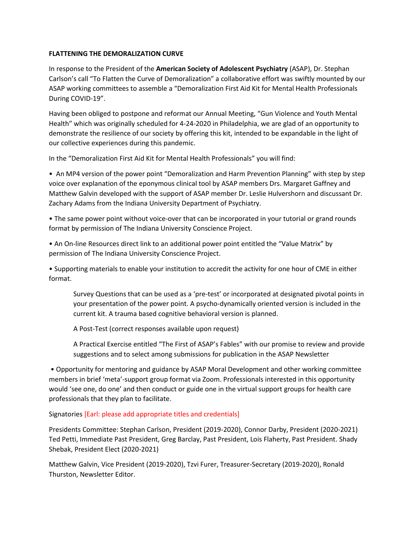## **FLATTENING THE DEMORALIZATION CURVE**

In response to the President of the **American Society of Adolescent Psychiatry** (ASAP), Dr. Stephan Carlson's call "To Flatten the Curve of Demoralization" a collaborative effort was swiftly mounted by our ASAP working committees to assemble a "Demoralization First Aid Kit for Mental Health Professionals During COVID-19".

Having been obliged to postpone and reformat our Annual Meeting, "Gun Violence and Youth Mental Health" which was originally scheduled for 4-24-2020 in Philadelphia, we are glad of an opportunity to demonstrate the resilience of our society by offering this kit, intended to be expandable in the light of our collective experiences during this pandemic.

In the "Demoralization First Aid Kit for Mental Health Professionals" you will find:

• An MP4 version of the power point "Demoralization and Harm Prevention Planning" with step by step voice over explanation of the eponymous clinical tool by ASAP members Drs. Margaret Gaffney and Matthew Galvin developed with the support of ASAP member Dr. Leslie Hulvershorn and discussant Dr. Zachary Adams from the Indiana University Department of Psychiatry.

• The same power point without voice-over that can be incorporated in your tutorial or grand rounds format by permission of The Indiana University Conscience Project.

• An On-line Resources direct link to an additional power point entitled the "Value Matrix" by permission of The Indiana University Conscience Project.

• Supporting materials to enable your institution to accredit the activity for one hour of CME in either format.

Survey Questions that can be used as a 'pre-test' or incorporated at designated pivotal points in your presentation of the power point. A psycho-dynamically oriented version is included in the current kit. A trauma based cognitive behavioral version is planned.

A Post-Test (correct responses available upon request)

A Practical Exercise entitled "The First of ASAP's Fables" with our promise to review and provide suggestions and to select among submissions for publication in the ASAP Newsletter

• Opportunity for mentoring and guidance by ASAP Moral Development and other working committee members in brief 'meta'-support group format via Zoom. Professionals interested in this opportunity would 'see one, do one' and then conduct or guide one in the virtual support groups for health care professionals that they plan to facilitate.

## Signatories [Earl: please add appropriate titles and credentials]

Presidents Committee: Stephan Carlson, President (2019-2020), Connor Darby, President (2020-2021) Ted Petti, Immediate Past President, Greg Barclay, Past President, Lois Flaherty, Past President. Shady Shebak, President Elect (2020-2021)

Matthew Galvin, Vice President (2019-2020), Tzvi Furer, Treasurer-Secretary (2019-2020), Ronald Thurston, Newsletter Editor.